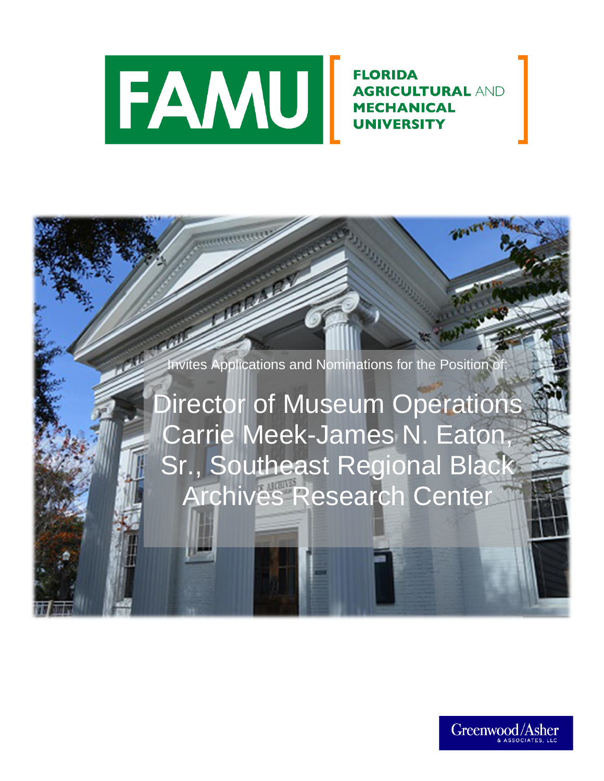

**FLORIDA AGRICULTURAL AND MECHANICAL** UNIVERSITY

Invites Applications and Nominations for the Position of

Director of Museum Operations Carrie Meek-James N. Eaton, Sr., Southeast Regional Black Archives Research Center

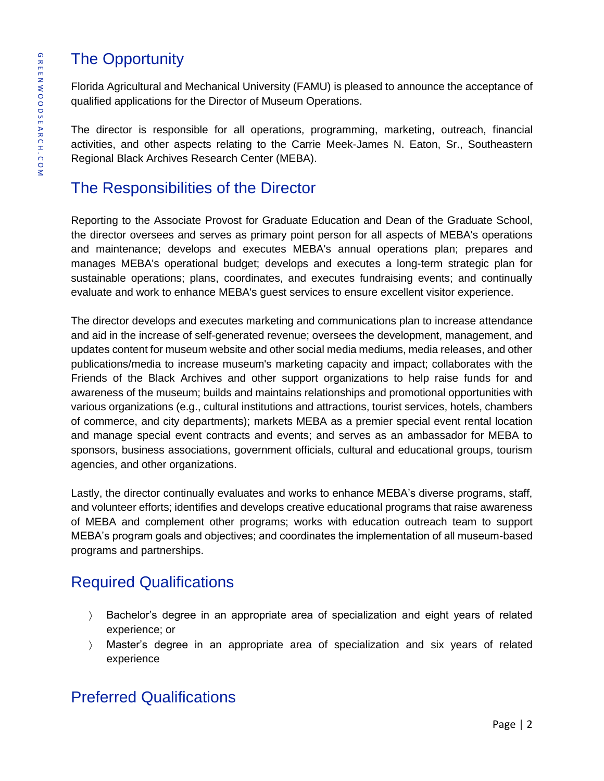# The Opportunity

Florida Agricultural and Mechanical University (FAMU) is pleased to announce the acceptance of qualified applications for the Director of Museum Operations.

The director is responsible for all operations, programming, marketing, outreach, financial activities, and other aspects relating to the Carrie Meek-James N. Eaton, Sr., Southeastern Regional Black Archives Research Center (MEBA).

# The Responsibilities of the Director

Reporting to the Associate Provost for Graduate Education and Dean of the Graduate School, the director oversees and serves as primary point person for all aspects of MEBA's operations and maintenance; develops and executes MEBA's annual operations plan; prepares and manages MEBA's operational budget; develops and executes a long-term strategic plan for sustainable operations; plans, coordinates, and executes fundraising events; and continually evaluate and work to enhance MEBA's guest services to ensure excellent visitor experience.

The director develops and executes marketing and communications plan to increase attendance and aid in the increase of self-generated revenue; oversees the development, management, and updates content for museum website and other social media mediums, media releases, and other publications/media to increase museum's marketing capacity and impact; collaborates with the Friends of the Black Archives and other support organizations to help raise funds for and awareness of the museum; builds and maintains relationships and promotional opportunities with various organizations (e.g., cultural institutions and attractions, tourist services, hotels, chambers of commerce, and city departments); markets MEBA as a premier special event rental location and manage special event contracts and events; and serves as an ambassador for MEBA to sponsors, business associations, government officials, cultural and educational groups, tourism agencies, and other organizations.

Lastly, the director continually evaluates and works to enhance MEBA's diverse programs, staff, and volunteer efforts; identifies and develops creative educational programs that raise awareness of MEBA and complement other programs; works with education outreach team to support MEBA's program goals and objectives; and coordinates the implementation of all museum-based programs and partnerships.

# Required Qualifications

- Bachelor's degree in an appropriate area of specialization and eight years of related experience; or
- Master's degree in an appropriate area of specialization and six years of related experience

# Preferred Qualifications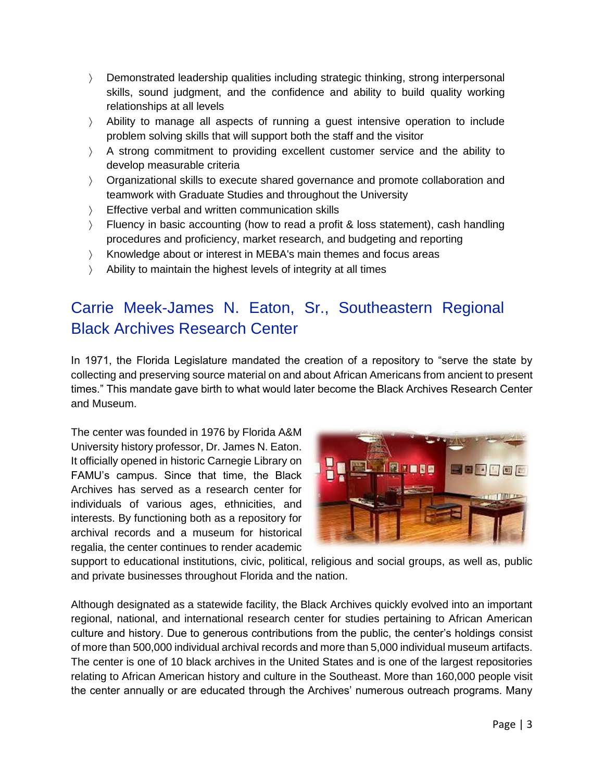- Demonstrated leadership qualities including strategic thinking, strong interpersonal skills, sound judgment, and the confidence and ability to build quality working relationships at all levels
- Ability to manage all aspects of running a guest intensive operation to include problem solving skills that will support both the staff and the visitor
- A strong commitment to providing excellent customer service and the ability to develop measurable criteria
- Organizational skills to execute shared governance and promote collaboration and teamwork with Graduate Studies and throughout the University
- Fifective verbal and written communication skills
- Fluency in basic accounting (how to read a profit & loss statement), cash handling procedures and proficiency, market research, and budgeting and reporting
- Knowledge about or interest in MEBA's main themes and focus areas
- Ability to maintain the highest levels of integrity at all times

# Carrie Meek-James N. Eaton, Sr., Southeastern Regional Black Archives Research Center

In 1971, the Florida Legislature mandated the creation of a repository to "serve the state by collecting and preserving source material on and about African Americans from ancient to present times." This mandate gave birth to what would later become the Black Archives Research Center and Museum.

The center was founded in 1976 by Florida A&M University history professor, Dr. James N. Eaton. It officially opened in historic Carnegie Library on FAMU's campus. Since that time, the Black Archives has served as a research center for individuals of various ages, ethnicities, and interests. By functioning both as a repository for archival records and a museum for historical regalia, the center continues to render academic



support to educational institutions, civic, political, religious and social groups, as well as, public and private businesses throughout Florida and the nation.

Although designated as a statewide facility, the Black Archives quickly evolved into an important regional, national, and international research center for studies pertaining to African American culture and history. Due to generous contributions from the public, the center's holdings consist of more than 500,000 individual archival records and more than 5,000 individual museum artifacts. The center is one of 10 black archives in the United States and is one of the largest repositories relating to African American history and culture in the Southeast. More than 160,000 people visit the center annually or are educated through the Archives' numerous outreach programs. Many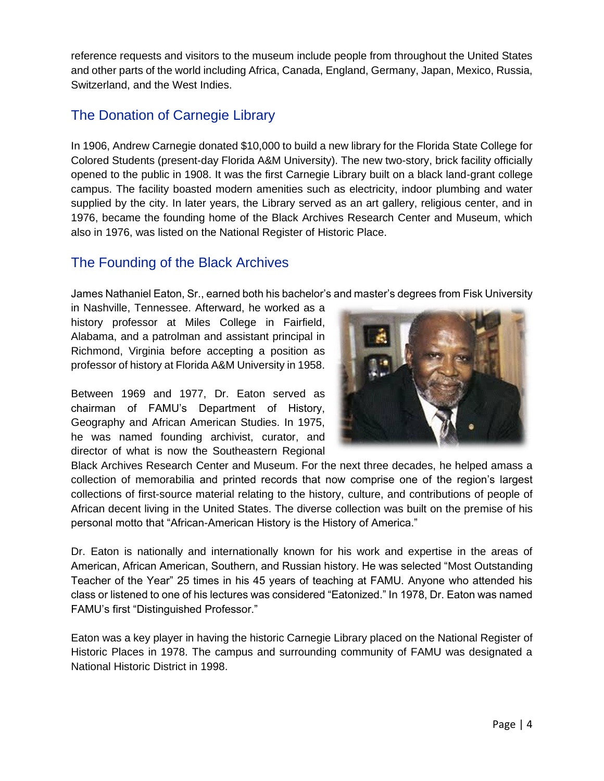reference requests and visitors to the museum include people from throughout the United States and other parts of the world including Africa, Canada, England, Germany, Japan, Mexico, Russia, Switzerland, and the West Indies.

### The Donation of Carnegie Library

In 1906, Andrew Carnegie donated \$10,000 to build a new library for the Florida State College for Colored Students (present-day Florida A&M University). The new two-story, brick facility officially opened to the public in 1908. It was the first Carnegie Library built on a black land-grant college campus. The facility boasted modern amenities such as electricity, indoor plumbing and water supplied by the city. In later years, the Library served as an art gallery, religious center, and in 1976, became the founding home of the Black Archives Research Center and Museum, which also in 1976, was listed on the National Register of Historic Place.

### The Founding of the Black Archives

James Nathaniel Eaton, Sr., earned both his bachelor's and master's degrees from Fisk University

in Nashville, Tennessee. Afterward, he worked as a history professor at Miles College in Fairfield, Alabama, and a patrolman and assistant principal in Richmond, Virginia before accepting a position as professor of history at Florida A&M University in 1958.

Between 1969 and 1977, Dr. Eaton served as chairman of FAMU's Department of History, Geography and African American Studies. In 1975, he was named founding archivist, curator, and director of what is now the Southeastern Regional



Black Archives Research Center and Museum. For the next three decades, he helped amass a collection of memorabilia and printed records that now comprise one of the region's largest collections of first-source material relating to the history, culture, and contributions of people of African decent living in the United States. The diverse collection was built on the premise of his personal motto that "African-American History is the History of America."

Dr. Eaton is nationally and internationally known for his work and expertise in the areas of American, African American, Southern, and Russian history. He was selected "Most Outstanding Teacher of the Year" 25 times in his 45 years of teaching at FAMU. Anyone who attended his class or listened to one of his lectures was considered "Eatonized." In 1978, Dr. Eaton was named FAMU's first "Distinguished Professor."

Eaton was a key player in having the historic Carnegie Library placed on the National Register of Historic Places in 1978. The campus and surrounding community of FAMU was designated a National Historic District in 1998.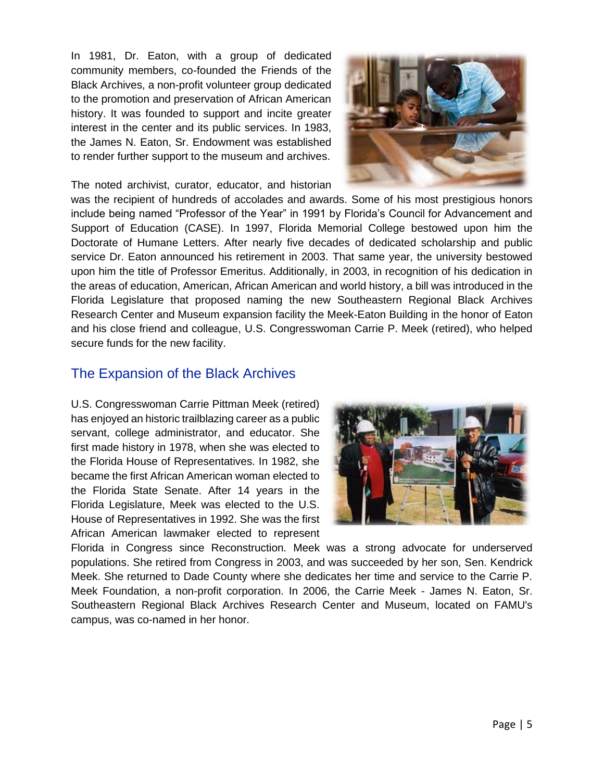In 1981, Dr. Eaton, with a group of dedicated community members, co-founded the Friends of the Black Archives, a non-profit volunteer group dedicated to the promotion and preservation of African American history. It was founded to support and incite greater interest in the center and its public services. In 1983, the James N. Eaton, Sr. Endowment was established to render further support to the museum and archives.



The noted archivist, curator, educator, and historian

was the recipient of hundreds of accolades and awards. Some of his most prestigious honors include being named "Professor of the Year" in 1991 by Florida's Council for Advancement and Support of Education (CASE). In 1997, Florida Memorial College bestowed upon him the Doctorate of Humane Letters. After nearly five decades of dedicated scholarship and public service Dr. Eaton announced his retirement in 2003. That same year, the university bestowed upon him the title of Professor Emeritus. Additionally, in 2003, in recognition of his dedication in the areas of education, American, African American and world history, a bill was introduced in the Florida Legislature that proposed naming the new Southeastern Regional Black Archives Research Center and Museum expansion facility the Meek-Eaton Building in the honor of Eaton and his close friend and colleague, U.S. Congresswoman Carrie P. Meek (retired), who helped secure funds for the new facility.

#### The Expansion of the Black Archives

U.S. Congresswoman Carrie Pittman Meek (retired) has enjoyed an historic trailblazing career as a public servant, college administrator, and educator. She first made history in 1978, when she was elected to the Florida House of Representatives. In 1982, she became the first African American woman elected to the Florida State Senate. After 14 years in the Florida Legislature, Meek was elected to the U.S. House of Representatives in 1992. She was the first African American lawmaker elected to represent



Florida in Congress since Reconstruction. Meek was a strong advocate for underserved populations. She retired from Congress in 2003, and was succeeded by her son, Sen. Kendrick Meek. She returned to Dade County where she dedicates her time and service to the Carrie P. Meek Foundation, a non-profit corporation. In 2006, the Carrie Meek - James N. Eaton, Sr. Southeastern Regional Black Archives Research Center and Museum, located on FAMU's campus, was co-named in her honor.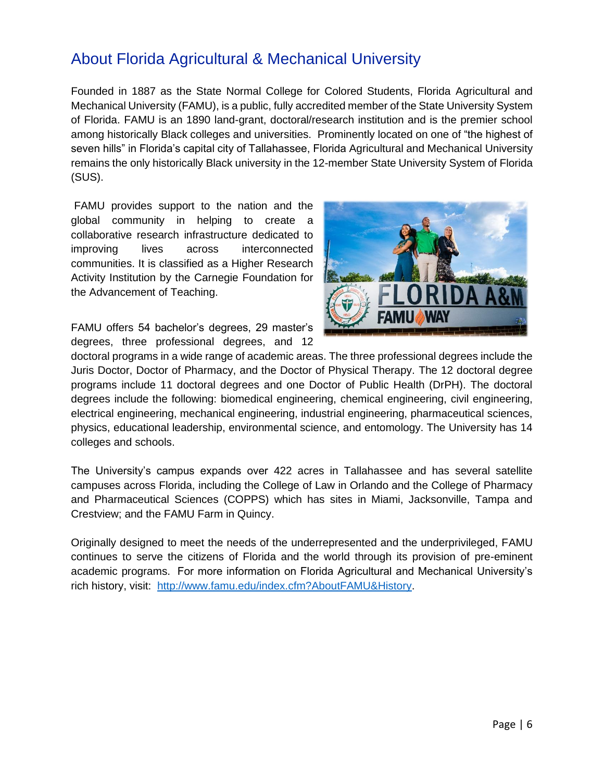## About Florida Agricultural & Mechanical University

Founded in 1887 as the State Normal College for Colored Students, Florida Agricultural and Mechanical University (FAMU), is a public, fully accredited member of the State University System of Florida. FAMU is an 1890 land-grant, doctoral/research institution and is the premier school among historically Black colleges and universities. Prominently located on one of "the highest of seven hills" in Florida's capital city of Tallahassee, Florida Agricultural and Mechanical University remains the only historically Black university in the 12-member State University System of Florida (SUS).

FAMU provides support to the nation and the global community in helping to create a collaborative research infrastructure dedicated to improving lives across interconnected communities. It is classified as a Higher Research Activity Institution by the Carnegie Foundation for the Advancement of Teaching.



FAMU offers 54 bachelor's degrees, 29 master's degrees, three professional degrees, and 12

doctoral programs in a wide range of academic areas. The three professional degrees include the Juris Doctor, Doctor of Pharmacy, and the Doctor of Physical Therapy. The 12 doctoral degree programs include 11 doctoral degrees and one Doctor of Public Health (DrPH). The doctoral degrees include the following: biomedical engineering, chemical engineering, civil engineering, electrical engineering, mechanical engineering, industrial engineering, pharmaceutical sciences, physics, educational leadership, environmental science, and entomology. The University has 14 colleges and schools.

The University's campus expands over 422 acres in Tallahassee and has several satellite campuses across Florida, including the College of Law in Orlando and the College of Pharmacy and Pharmaceutical Sciences (COPPS) which has sites in Miami, Jacksonville, Tampa and Crestview; and the FAMU Farm in Quincy.

Originally designed to meet the needs of the underrepresented and the underprivileged, FAMU continues to serve the citizens of Florida and the world through its provision of pre-eminent academic programs. For more information on Florida Agricultural and Mechanical University's rich history, visit: [http://www.famu.edu/index.cfm?AboutFAMU&History.](http://www.famu.edu/index.cfm?AboutFAMU&History)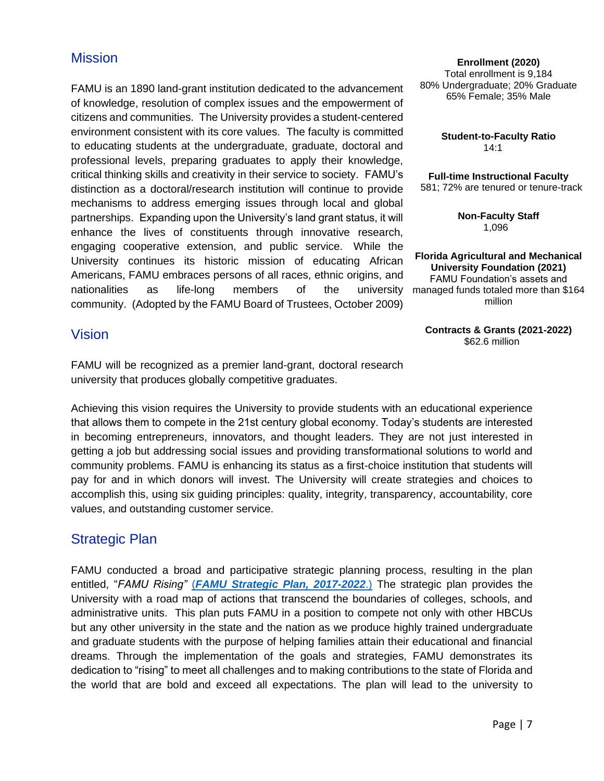### **Mission**

FAMU is an 1890 land-grant institution dedicated to the advancement of knowledge, resolution of complex issues and the empowerment of citizens and communities. The University provides a student-centered environment consistent with its core values. The faculty is committed to educating students at the undergraduate, graduate, doctoral and professional levels, preparing graduates to apply their knowledge, critical thinking skills and creativity in their service to society. FAMU's distinction as a doctoral/research institution will continue to provide mechanisms to address emerging issues through local and global partnerships. Expanding upon the University's land grant status, it will enhance the lives of constituents through innovative research, engaging cooperative extension, and public service. While the University continues its historic mission of educating African Americans, FAMU embraces persons of all races, ethnic origins, and nationalities as life-long members of the community. (Adopted by the FAMU Board of Trustees, October 2009)

**Enrollment (2020)** Total enrollment is 9,184 80% Undergraduate; 20% Graduate 65% Female; 35% Male

> **Student-to-Faculty Ratio** 14:1

**Full-time Instructional Faculty** 581; 72% are tenured or tenure-track

> **Non-Faculty Staff** 1,096

**Florida Agricultural and Mechanical University Foundation (2021)** FAMU Foundation's assets and university managed funds totaled more than \$164 million

> **Contracts & Grants (2021-2022)** \$62.6 million

#### Vision

FAMU will be recognized as a premier land-grant, doctoral research university that produces globally competitive graduates.

Achieving this vision requires the University to provide students with an educational experience that allows them to compete in the 21st century global economy. Today's students are interested in becoming entrepreneurs, innovators, and thought leaders. They are not just interested in getting a job but addressing social issues and providing transformational solutions to world and community problems. FAMU is enhancing its status as a first-choice institution that students will pay for and in which donors will invest. The University will create strategies and choices to accomplish this, using six guiding principles: quality, integrity, transparency, accountability, core values, and outstanding customer service.

#### Strategic Plan

FAMU conducted a broad and participative strategic planning process, resulting in the plan entitled, "*FAMU Rising"* (*[FAMU Strategic Plan, 2017-2022](http://www.famu.edu/Strategic/FAMU%20Strategic%20Plan%202017-2022%20Final_reduced%20size.pdf)*.) The strategic plan provides the University with a road map of actions that transcend the boundaries of colleges, schools, and administrative units. This plan puts FAMU in a position to compete not only with other HBCUs but any other university in the state and the nation as we produce highly trained undergraduate and graduate students with the purpose of helping families attain their educational and financial dreams. Through the implementation of the goals and strategies, FAMU demonstrates its dedication to "rising" to meet all challenges and to making contributions to the state of Florida and the world that are bold and exceed all expectations. The plan will lead to the university to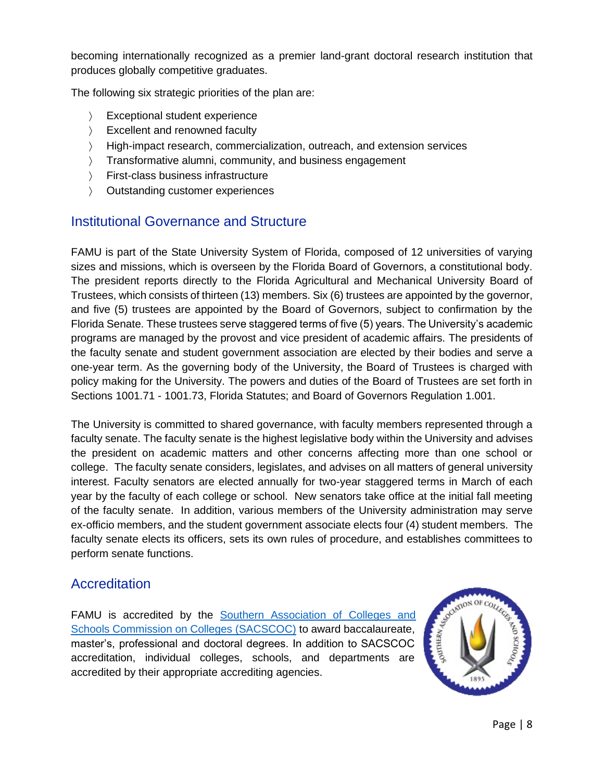becoming internationally recognized as a premier land-grant doctoral research institution that produces globally competitive graduates.

The following six strategic priorities of the plan are:

- **Exceptional student experience**
- Excellent and renowned faculty
- High-impact research, commercialization, outreach, and extension services
- Transformative alumni, community, and business engagement
- First-class business infrastructure
- Outstanding customer experiences

### Institutional Governance and Structure

FAMU is part of the State University System of Florida, composed of 12 universities of varying sizes and missions, which is overseen by the Florida Board of Governors, a constitutional body. The president reports directly to the Florida Agricultural and Mechanical University Board of Trustees, which consists of thirteen (13) members. Six (6) trustees are appointed by the governor, and five (5) trustees are appointed by the Board of Governors, subject to confirmation by the Florida Senate. These trustees serve staggered terms of five (5) years. The University's academic programs are managed by the provost and vice president of academic affairs. The presidents of the faculty senate and student government association are elected by their bodies and serve a one-year term. As the governing body of the University, the Board of Trustees is charged with policy making for the University. The powers and duties of the Board of Trustees are set forth in Sections 1001.71 - 1001.73, Florida Statutes; and Board of Governors Regulation 1.001.

The University is committed to shared governance, with faculty members represented through a faculty senate. The faculty senate is the highest legislative body within the University and advises the president on academic matters and other concerns affecting more than one school or college. The faculty senate considers, legislates, and advises on all matters of general university interest. Faculty senators are elected annually for two-year staggered terms in March of each year by the faculty of each college or school. New senators take office at the initial fall meeting of the faculty senate. In addition, various members of the University administration may serve ex-officio members, and the student government associate elects four (4) student members. The faculty senate elects its officers, sets its own rules of procedure, and establishes committees to perform senate functions.

### **Accreditation**

FAMU is accredited by the Southern Association of Colleges and [Schools Commission on Colleges \(SACSCOC\)](http://www.sacscoc.org/) to award baccalaureate, master's, professional and doctoral degrees. In addition to SACSCOC accreditation, individual colleges, schools, and departments are accredited by their appropriate accrediting agencies.

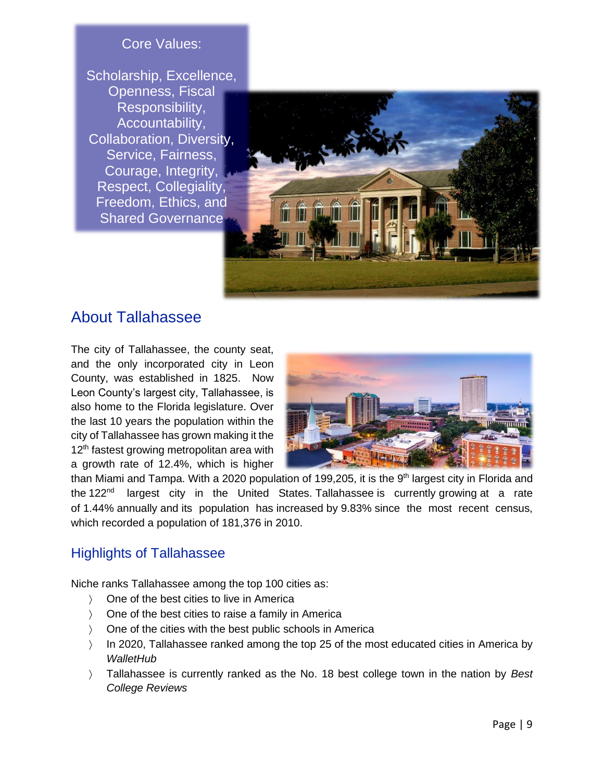### Core Values:

Scholarship, Excellence, Openness, Fiscal Responsibility, Accountability, Collaboration, Diversity, Service, Fairness, Courage, Integrity, Respect, Collegiality, Freedom, Ethics, and Shared Governance



## About Tallahassee

The city of Tallahassee, the county seat, and the only incorporated city in Leon County, was established in 1825. Now Leon County's largest city, Tallahassee, is also home to the Florida legislature. Over the last 10 years the population within the city of Tallahassee has grown making it the 12<sup>th</sup> fastest growing metropolitan area with a growth rate of 12.4%, which is higher



than Miami and Tampa. With a 2020 population of 199,205, it is the 9<sup>th</sup> [largest city in](https://worldpopulationreview.com/states/florida-population/cities/) Florida and the 122<sup>nd</sup> largest city in the United [States.](https://worldpopulationreview.com/us-cities) Tallahassee is currently growing at a rate of 1.44% annually and its population has increased by 9.83% since the most recent census, which recorded a population of 181,376 in 2010.

#### Highlights of Tallahassee

Niche ranks Tallahassee among the top 100 cities as:

- > One of the best cities to live in America
- One of the best cities to raise a family in America
- ) One of the cities with the best public schools in America
- $\vert$  In 2020, Tallahassee ranked among the top 25 of the most educated cities in America by *WalletHub*
- Tallahassee is currently ranked as the No. 18 best college town in the nation by *Best College Reviews*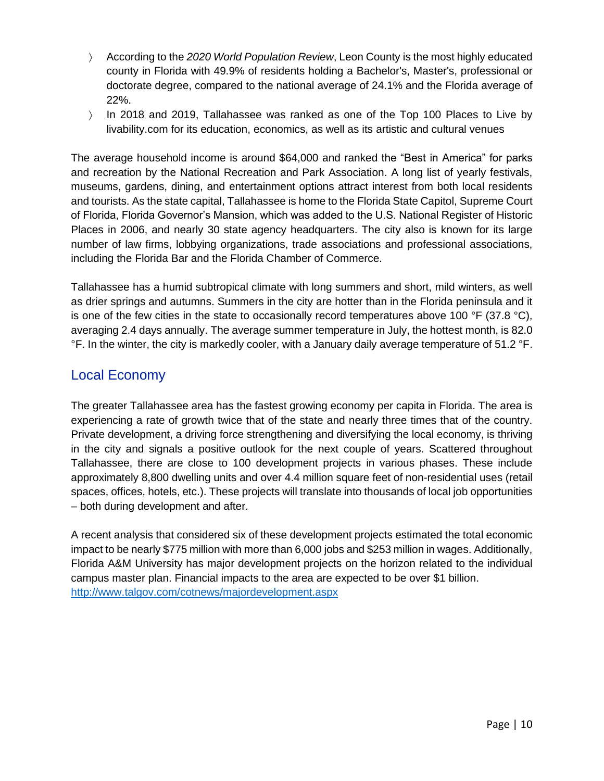- According to the *2020 World Population Review*, Leon County is the most highly educated county in Florida with 49.9% of residents holding a Bachelor's, Master's, professional or doctorate degree, compared to the national average of 24.1% and the Florida average of 22%.
- In 2018 and 2019, Tallahassee was ranked as one of the Top 100 Places to Live by livability.com for its education, economics, as well as its artistic and cultural venues

The average household income is around \$64,000 and ranked the "Best in America" for parks and recreation by the National Recreation and Park Association. A long list of yearly festivals, museums, gardens, dining, and entertainment options attract interest from both local residents and tourists. As the state capital, Tallahassee is home to the Florida State Capitol, Supreme Court of Florida, Florida Governor's Mansion, which was added to the U.S. National Register of Historic Places in 2006, and nearly 30 state agency headquarters. The city also is known for its large number of law firms, lobbying organizations, trade associations and professional associations, including the Florida Bar and the Florida Chamber of Commerce.

Tallahassee has a humid subtropical climate with long summers and short, mild winters, as well as drier springs and autumns. Summers in the city are hotter than in the Florida peninsula and it is one of the few cities in the state to occasionally record temperatures above 100  $\degree$ F (37.8  $\degree$ C), averaging 2.4 days annually. The average summer temperature in July, the hottest month, is 82.0 °F. In the winter, the city is markedly cooler, with a January daily average temperature of 51.2 °F.

#### Local Economy

The greater Tallahassee area has the fastest growing economy per capita in Florida. The area is experiencing a rate of growth twice that of the state and nearly three times that of the country. Private development, a driving force strengthening and diversifying the local economy, is thriving in the city and signals a positive outlook for the next couple of years. Scattered throughout Tallahassee, there are close to 100 development projects in various phases. These include approximately 8,800 dwelling units and over 4.4 million square feet of non-residential uses (retail spaces, offices, hotels, etc.). These projects will translate into thousands of local job opportunities – both during development and after.

A recent analysis that considered six of these development projects estimated the total economic impact to be nearly \$775 million with more than 6,000 jobs and \$253 million in wages. Additionally, Florida A&M University has major development projects on the horizon related to the individual campus master plan. Financial impacts to the area are expected to be over \$1 billion. <http://www.talgov.com/cotnews/majordevelopment.aspx>